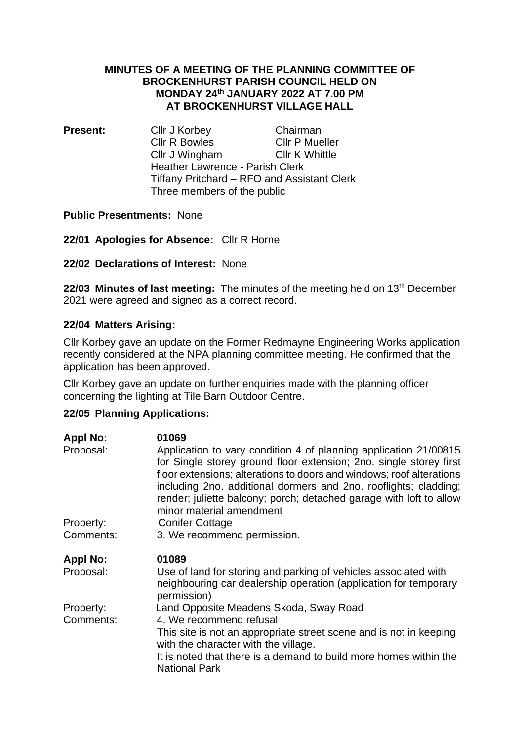### **MINUTES OF A MEETING OF THE PLANNING COMMITTEE OF BROCKENHURST PARISH COUNCIL HELD ON MONDAY 24th JANUARY 2022 AT 7.00 PM AT BROCKENHURST VILLAGE HALL**

**Present:** Cllr J Korbey Chairman Cllr R Bowles Cllr P Mueller Cllr J Wingham Cllr K Whittle Heather Lawrence - Parish Clerk Tiffany Pritchard – RFO and Assistant Clerk Three members of the public

## **Public Presentments:** None

**22/01 Apologies for Absence:** Cllr R Horne

**22/02 Declarations of Interest:** None

**22/03 Minutes of last meeting:** The minutes of the meeting held on 13th December 2021 were agreed and signed as a correct record.

## **22/04 Matters Arising:**

Cllr Korbey gave an update on the Former Redmayne Engineering Works application recently considered at the NPA planning committee meeting. He confirmed that the application has been approved.

Cllr Korbey gave an update on further enquiries made with the planning officer concerning the lighting at Tile Barn Outdoor Centre.

# **22/05 Planning Applications:**

| <b>Appl No:</b> | 01069                                                                                                                                                                                                                                                                                                                                                                                 |
|-----------------|---------------------------------------------------------------------------------------------------------------------------------------------------------------------------------------------------------------------------------------------------------------------------------------------------------------------------------------------------------------------------------------|
| Proposal:       | Application to vary condition 4 of planning application 21/00815<br>for Single storey ground floor extension; 2no. single storey first<br>floor extensions; alterations to doors and windows; roof alterations<br>including 2no. additional dormers and 2no. rooflights; cladding;<br>render; juliette balcony; porch; detached garage with loft to allow<br>minor material amendment |
| Property:       | <b>Conifer Cottage</b>                                                                                                                                                                                                                                                                                                                                                                |
| Comments:       | 3. We recommend permission.                                                                                                                                                                                                                                                                                                                                                           |
| <b>Appl No:</b> | 01089                                                                                                                                                                                                                                                                                                                                                                                 |
| Proposal:       | Use of land for storing and parking of vehicles associated with<br>neighbouring car dealership operation (application for temporary<br>permission)                                                                                                                                                                                                                                    |
| Property:       | Land Opposite Meadens Skoda, Sway Road                                                                                                                                                                                                                                                                                                                                                |
| Comments:       | 4. We recommend refusal                                                                                                                                                                                                                                                                                                                                                               |
|                 | This site is not an appropriate street scene and is not in keeping<br>with the character with the village.                                                                                                                                                                                                                                                                            |
|                 | It is noted that there is a demand to build more homes within the<br><b>National Park</b>                                                                                                                                                                                                                                                                                             |